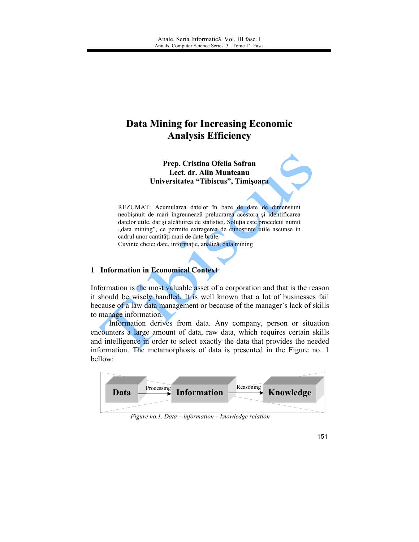# **Data Mining for Increasing Economic Analysis Efficiency**

Prep. Cristina Ofelia Sofran Lect. dr. Alin Munteanu Universitatea "Tibiscus", Timișoara

REZUMAT: Acumularea datelor în baze de date de dimensiuni neobișnuit de mari îngreunează prelucrarea acestora și identificarea datelor utile, dar și alcătuirea de statistici. Soluția este procedeul numit "data mining", ce permite extragerea de cunoștințe utile ascunse în cadrul unor cantități mari de date brute. Cuvinte cheie: date, informație, analiză, data mining

#### 1 Information in Economical Context

Information is the most valuable asset of a corporation and that is the reason it should be wisely handled. It is well known that a lot of businesses fail because of a law data management or because of the manager's lack of skills to manage information.

Information derives from data. Any company, person or situation encounters a large amount of data, raw data, which requires certain skills and intelligence in order to select exactly the data that provides the needed information. The metamorphosis of data is presented in the Figure no. 1 bellow:



Figure no.1. Data - information - knowledge relation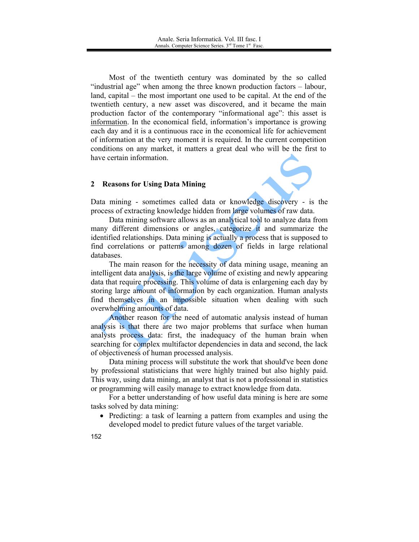Most of the twentieth century was dominated by the so called "industrial age" when among the three known production factors – labour, land, capital – the most important one used to be capital. At the end of the twentieth century, a new asset was discovered, and it became the main production factor of the contemporary "informational age": this asset is information. In the economical field, information's importance is growing each day and it is a continuous race in the economical life for achievement of information at the very moment it is required. In the current competition conditions on any market, it matters a great deal who will be the first to have certain information.

## 2 Reasons for Using Data Mining

Data mining - sometimes called data or knowledge discovery - is the process of extracting knowledge hidden from large volumes of raw data.

Data mining software allows as an analytical tool to analyze data from many different dimensions or angles, categorize it and summarize the identified relationships. Data mining is actually a process that is supposed to find correlations or patterns among dozen of fields in large relational databases.

The main reason for the necessity of data mining usage, meaning an intelligent data analysis, is the large volume of existing and newly appearing data that require processing. This volume of data is enlargening each day by storing large amount of information by each organization. Human analysts find themselves in an impossible situation when dealing with such overwhelming amounts of data.

Another reason for the need of automatic analysis instead of human analysis is that there are two major problems that surface when human analysts process data: first, the inadequacy of the human brain when searching for complex multifactor dependencies in data and second, the lack of objectiveness of human processed analysis.

Data mining process will substitute the work that should've been done by professional statisticians that were highly trained but also highly paid. This way, using data mining, an analyst that is not a professional in statistics or programming will easily manage to extract knowledge from data.

For a better understanding of how useful data mining is here are some tasks solved by data mining:

• Predicting: a task of learning a pattern from examples and using the developed model to predict future values of the target variable.

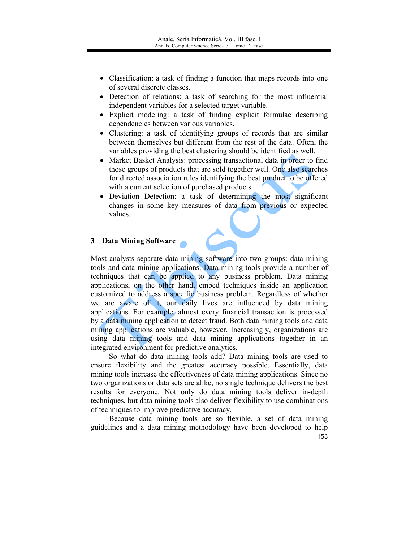- Classification: a task of finding a function that maps records into one of several discrete classes.
- Detection of relations: a task of searching for the most influential independent variables for a selected target variable.
- Explicit modeling: a task of finding explicit formulae describing dependencies between various variables.
- Clustering: a task of identifying groups of records that are similar between themselves but different from the rest of the data. Often, the variables providing the best clustering should be identified as well.
- Market Basket Analysis: processing transactional data in order to find those groups of products that are sold together well. One also searches for directed association rules identifying the best product to be offered with a current selection of purchased products.
- Deviation Detection: a task of determining the most significant changes in some key measures of data from previous or expected values.

# 3 Data Mining Software

Most analysts separate data mining software into two groups: data mining tools and data mining applications. Data mining tools provide a number of techniques that can be applied to any business problem. Data mining applications, on the other hand, embed techniques inside an application customized to address a specific business problem. Regardless of whether we are aware of it, our daily lives are influenced by data mining applications. For example, almost every financial transaction is processed by a data mining application to detect fraud. Both data mining tools and data mining applications are valuable, however. Increasingly, organizations are using data mining tools and data mining applications together in an integrated environment for predictive analytics.

So what do data mining tools add? Data mining tools are used to ensure flexibility and the greatest accuracy possible. Essentially, data mining tools increase the effectiveness of data mining applications. Since no two organizations or data sets are alike, no single technique delivers the best results for everyone. Not only do data mining tools deliver in-depth techniques, but data mining tools also deliver flexibility to use combinations of techniques to improve predictive accuracy.

Because data mining tools are so flexible, a set of data mining guidelines and a data mining methodology have been developed to help 153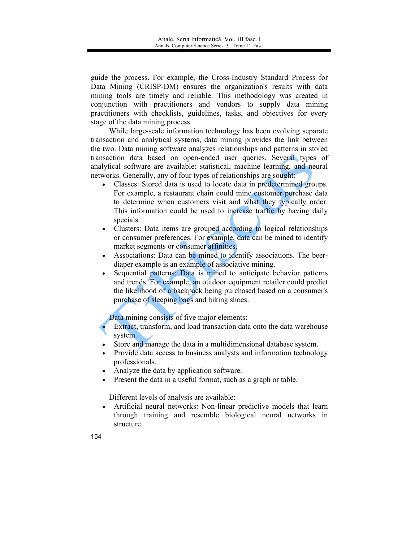guide the process. For example, the Cross-Industry Standard Process for Data Mining (CRISP-DM) ensures the organization's results with data mining tools are timely and reliable. This methodology was created in conjunction with practitioners and vendors to supply data mining practitioners with checklists, guidelines, tasks, and objectives for every stage of the data mining process.

While large-scale information technology has been evolving separate transaction and analytical systems, data mining provides the link between the two. Data mining software analyzes relationships and patterns in stored transaction data based on open-ended user queries. Several types of analytical software are available: statistical, machine learning, and neural networks. Generally, any of four types of relationships are sought:

- Classes: Stored data is used to locate data in predetermined groups.  $\bullet$ For example, a restaurant chain could mine customer purchase data to determine when customers visit and what they typically order. This information could be used to increase traffic by having daily specials.
- Clusters: Data items are grouped according to logical relationships  $\bullet$ or consumer preferences. For example, data can be mined to identify market segments or consumer affinities.
- Associations: Data can be mined to identify associations. The beerdiaper example is an example of associative mining.
- Sequential patterns: Data is mined to anticipate behavior patterns and trends. For example, an outdoor equipment retailer could predict the likelihood of a backpack being purchased based on a consumer's purchase of sleeping bags and hiking shoes.

Data mining consists of five major elements:

- Extract, transform, and load transaction data onto the data warehouse system.
- Store and manage the data in a multidimensional database system.
- Provide data access to business analysts and information technology professionals.
- Analyze the data by application software.
- Present the data in a useful format, such as a graph or table.

Different levels of analysis are available:

• Artificial neural networks: Non-linear predictive models that learn through training and resemble biological neural networks in structure.

154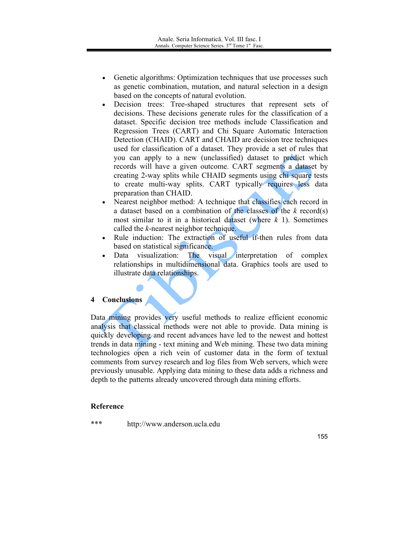- $\bullet$ Genetic algorithms: Optimization techniques that use processes such as genetic combination, mutation, and natural selection in a design based on the concepts of natural evolution.
- Decision trees: Tree-shaped structures that represent sets of  $\bullet$ decisions. These decisions generate rules for the classification of a dataset. Specific decision tree methods include Classification and Regression Trees (CART) and Chi Square Automatic Interaction Detection (CHAID). CART and CHAID are decision tree techniques used for classification of a dataset. They provide a set of rules that you can apply to a new (unclassified) dataset to predict which records will have a given outcome. CART segments a dataset by creating 2-way splits while CHAID segments using chi square tests to create multi-way splits. CART typically requires less data preparation than CHAID.
- Nearest neighbor method: A technique that classifies each record in a dataset based on a combination of the classes of the  $k$  record(s) most similar to it in a historical dataset (where  $k$  1). Sometimes called the k-nearest neighbor technique.
- Rule induction: The extraction of useful if-then rules from data based on statistical significance.
- Data visualization: The visual interpretation of complex relationships in multidimensional data. Graphics tools are used to illustrate data relationships.

## 4 Conclusions

Data mining provides very useful methods to realize efficient economic analysis that classical methods were not able to provide. Data mining is quickly developing and recent advances have led to the newest and hottest trends in data mining - text mining and Web mining. These two data mining technologies open a rich vein of customer data in the form of textual comments from survey research and log files from Web servers, which were previously unusable. Applying data mining to these data adds a richness and depth to the patterns already uncovered through data mining efforts.

## **Reference**

\*\*\* http://www.anderson.ucla.edu